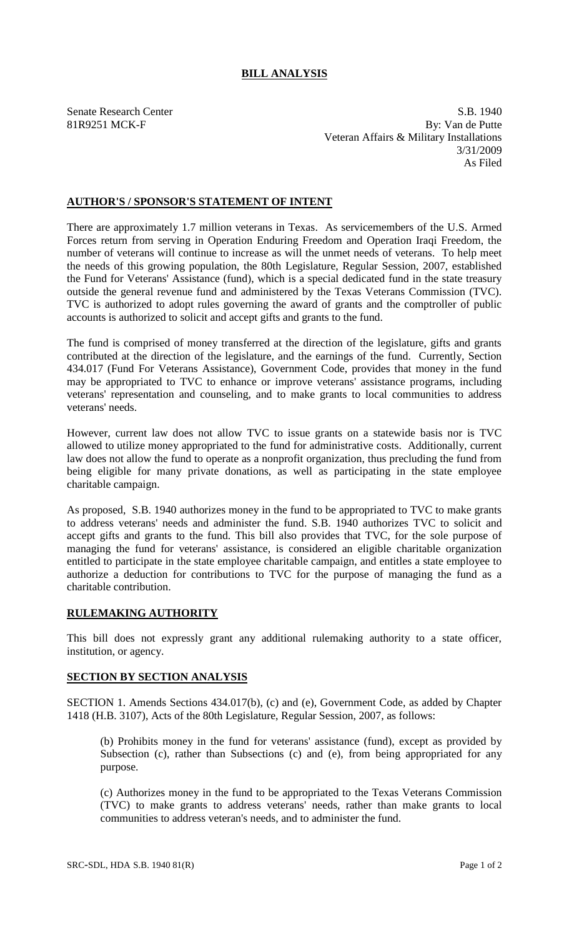## **BILL ANALYSIS**

Senate Research Center S.B. 1940 81R9251 MCK-F By: Van de Putte Veteran Affairs & Military Installations 3/31/2009 As Filed

## **AUTHOR'S / SPONSOR'S STATEMENT OF INTENT**

There are approximately 1.7 million veterans in Texas. As servicemembers of the U.S. Armed Forces return from serving in Operation Enduring Freedom and Operation Iraqi Freedom, the number of veterans will continue to increase as will the unmet needs of veterans. To help meet the needs of this growing population, the 80th Legislature, Regular Session, 2007, established the Fund for Veterans' Assistance (fund), which is a special dedicated fund in the state treasury outside the general revenue fund and administered by the Texas Veterans Commission (TVC). TVC is authorized to adopt rules governing the award of grants and the comptroller of public accounts is authorized to solicit and accept gifts and grants to the fund.

The fund is comprised of money transferred at the direction of the legislature, gifts and grants contributed at the direction of the legislature, and the earnings of the fund. Currently, Section 434.017 (Fund For Veterans Assistance), Government Code, provides that money in the fund may be appropriated to TVC to enhance or improve veterans' assistance programs, including veterans' representation and counseling, and to make grants to local communities to address veterans' needs.

However, current law does not allow TVC to issue grants on a statewide basis nor is TVC allowed to utilize money appropriated to the fund for administrative costs. Additionally, current law does not allow the fund to operate as a nonprofit organization, thus precluding the fund from being eligible for many private donations, as well as participating in the state employee charitable campaign.

As proposed, S.B. 1940 authorizes money in the fund to be appropriated to TVC to make grants to address veterans' needs and administer the fund. S.B. 1940 authorizes TVC to solicit and accept gifts and grants to the fund. This bill also provides that TVC, for the sole purpose of managing the fund for veterans' assistance, is considered an eligible charitable organization entitled to participate in the state employee charitable campaign, and entitles a state employee to authorize a deduction for contributions to TVC for the purpose of managing the fund as a charitable contribution.

## **RULEMAKING AUTHORITY**

This bill does not expressly grant any additional rulemaking authority to a state officer, institution, or agency.

## **SECTION BY SECTION ANALYSIS**

SECTION 1. Amends Sections 434.017(b), (c) and (e), Government Code, as added by Chapter 1418 (H.B. 3107), Acts of the 80th Legislature, Regular Session, 2007, as follows:

(b) Prohibits money in the fund for veterans' assistance (fund), except as provided by Subsection (c), rather than Subsections (c) and (e), from being appropriated for any purpose.

(c) Authorizes money in the fund to be appropriated to the Texas Veterans Commission (TVC) to make grants to address veterans' needs, rather than make grants to local communities to address veteran's needs, and to administer the fund.